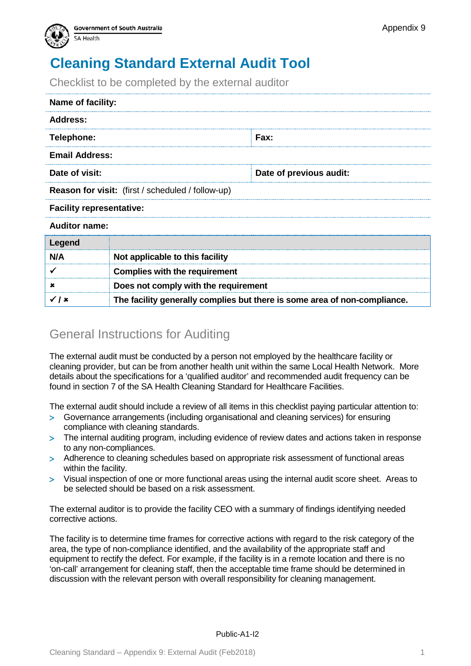

**Complies with the requirement**

Checklist to be completed by the external auditor

| Name of facility:                                 |                                 |  |  |
|---------------------------------------------------|---------------------------------|--|--|
| <b>Address:</b>                                   |                                 |  |  |
| Telephone:                                        | Fax:                            |  |  |
| <b>Email Address:</b>                             |                                 |  |  |
| Date of visit:                                    | Date of previous audit:         |  |  |
| Reason for visit: (first / scheduled / follow-up) |                                 |  |  |
| <b>Facility representative:</b>                   |                                 |  |  |
| <b>Auditor name:</b>                              |                                 |  |  |
| Legend                                            |                                 |  |  |
| N/A                                               | Not applicable to this facility |  |  |
|                                                   |                                 |  |  |

| ×                  | Does not comply with the requirement                                      |
|--------------------|---------------------------------------------------------------------------|
| $\checkmark$   $x$ | The facility generally complies but there is some area of non-compliance. |

#### General Instructions for Auditing

The external audit must be conducted by a person not employed by the healthcare facility or cleaning provider, but can be from another health unit within the same Local Health Network. More details about the specifications for a 'qualified auditor' and recommended audit frequency can be found in section 7 of the SA Health Cleaning Standard for Healthcare Facilities.

The external audit should include a review of all items in this checklist paying particular attention to:

- > Governance arrangements (including organisational and cleaning services) for ensuring compliance with cleaning standards.
- > The internal auditing program, including evidence of review dates and actions taken in response to any non-compliances.
- > Adherence to cleaning schedules based on appropriate risk assessment of functional areas within the facility.
- > Visual inspection of one or more functional areas using the internal audit score sheet. Areas to be selected should be based on a risk assessment.

The external auditor is to provide the facility CEO with a summary of findings identifying needed corrective actions.

The facility is to determine time frames for corrective actions with regard to the risk category of the area, the type of non-compliance identified, and the availability of the appropriate staff and equipment to rectify the defect. For example, if the facility is in a remote location and there is no 'on-call' arrangement for cleaning staff, then the acceptable time frame should be determined in discussion with the relevant person with overall responsibility for cleaning management.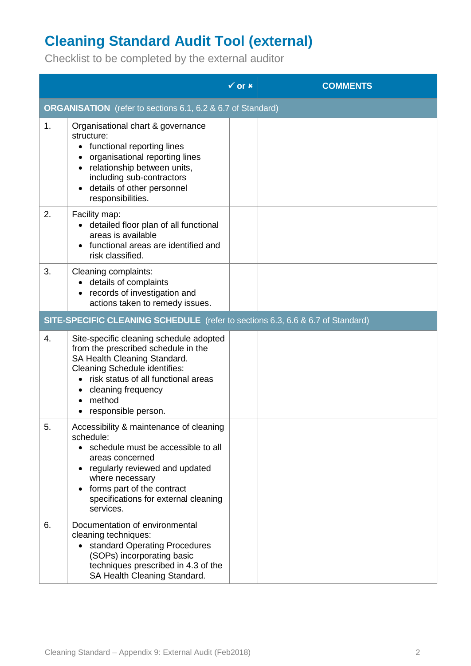# **Cleaning Standard Audit Tool (external)**

Checklist to be completed by the external auditor

|    |                                                                                                                                                                                                                                                                    | $\checkmark$ or $\checkmark$ | <b>COMMENTS</b> |
|----|--------------------------------------------------------------------------------------------------------------------------------------------------------------------------------------------------------------------------------------------------------------------|------------------------------|-----------------|
|    | <b>ORGANISATION</b> (refer to sections 6.1, 6.2 & 6.7 of Standard)                                                                                                                                                                                                 |                              |                 |
| 1. | Organisational chart & governance<br>structure:<br>functional reporting lines<br>organisational reporting lines<br>• relationship between units,<br>including sub-contractors<br>details of other personnel<br>responsibilities.                                   |                              |                 |
| 2. | Facility map:<br>detailed floor plan of all functional<br>$\bullet$<br>areas is available<br>functional areas are identified and<br>risk classified.                                                                                                               |                              |                 |
| 3. | Cleaning complaints:<br>• details of complaints<br>records of investigation and<br>actions taken to remedy issues.                                                                                                                                                 |                              |                 |
|    | SITE-SPECIFIC CLEANING SCHEDULE (refer to sections 6.3, 6.6 & 6.7 of Standard)                                                                                                                                                                                     |                              |                 |
| 4. | Site-specific cleaning schedule adopted<br>from the prescribed schedule in the<br>SA Health Cleaning Standard.<br><b>Cleaning Schedule identifies:</b><br>risk status of all functional areas<br>cleaning frequency<br>method<br>responsible person.               |                              |                 |
| 5. | Accessibility & maintenance of cleaning<br>schedule:<br>schedule must be accessible to all<br>$\bullet$<br>areas concerned<br>regularly reviewed and updated<br>where necessary<br>forms part of the contract<br>specifications for external cleaning<br>services. |                              |                 |
| 6. | Documentation of environmental<br>cleaning techniques:<br>• standard Operating Procedures<br>(SOPs) incorporating basic<br>techniques prescribed in 4.3 of the<br>SA Health Cleaning Standard.                                                                     |                              |                 |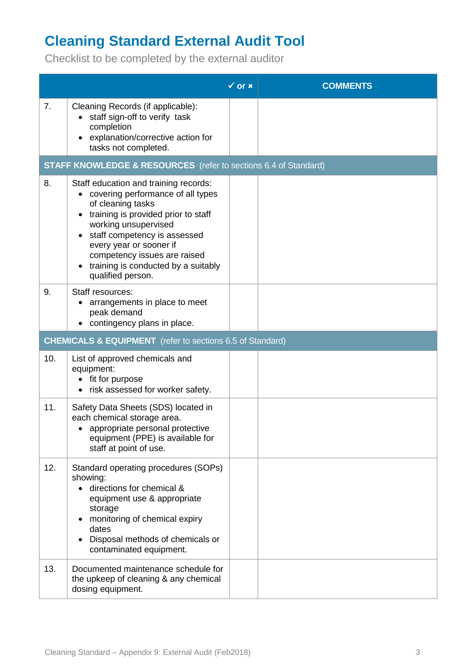Checklist to be completed by the external auditor

|                |                                                                                                                                                                                                                                                                                                                         | $\sqrt{or x}$ | <b>COMMENTS</b> |  |
|----------------|-------------------------------------------------------------------------------------------------------------------------------------------------------------------------------------------------------------------------------------------------------------------------------------------------------------------------|---------------|-----------------|--|
| 7 <sub>1</sub> | Cleaning Records (if applicable):<br>• staff sign-off to verify task<br>completion<br>explanation/corrective action for<br>tasks not completed.                                                                                                                                                                         |               |                 |  |
|                | <b>STAFF KNOWLEDGE &amp; RESOURCES</b> (refer to sections 6.4 of Standard)                                                                                                                                                                                                                                              |               |                 |  |
| 8.             | Staff education and training records:<br>• covering performance of all types<br>of cleaning tasks<br>training is provided prior to staff<br>working unsupervised<br>staff competency is assessed<br>every year or sooner if<br>competency issues are raised<br>training is conducted by a suitably<br>qualified person. |               |                 |  |
| 9.             | Staff resources:<br>arrangements in place to meet<br>peak demand<br>contingency plans in place.                                                                                                                                                                                                                         |               |                 |  |
|                | <b>CHEMICALS &amp; EQUIPMENT</b> (refer to sections 6.5 of Standard)                                                                                                                                                                                                                                                    |               |                 |  |
| 10.            | List of approved chemicals and<br>equipment:<br>fit for purpose<br>risk assessed for worker safety.                                                                                                                                                                                                                     |               |                 |  |
| 11.            | Safety Data Sheets (SDS) located in<br>each chemical storage area.<br>• appropriate personal protective<br>equipment (PPE) is available for<br>staff at point of use.                                                                                                                                                   |               |                 |  |
| 12.            | Standard operating procedures (SOPs)<br>showing:<br>directions for chemical &<br>equipment use & appropriate<br>storage<br>monitoring of chemical expiry<br>dates<br>Disposal methods of chemicals or<br>contaminated equipment.                                                                                        |               |                 |  |
| 13.            | Documented maintenance schedule for<br>the upkeep of cleaning & any chemical<br>dosing equipment.                                                                                                                                                                                                                       |               |                 |  |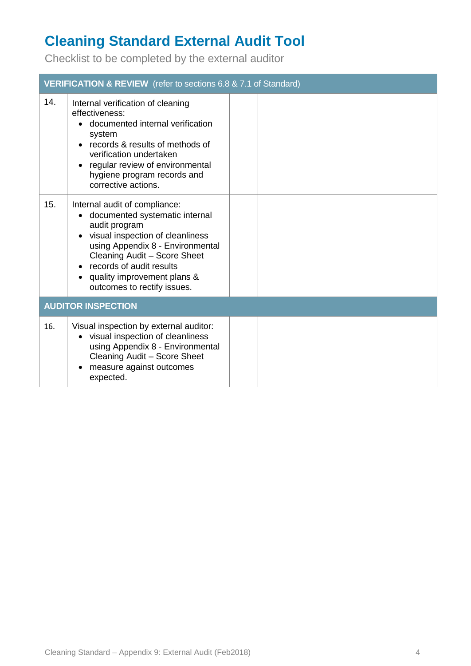Checklist to be completed by the external auditor

|     | <b>VERIFICATION &amp; REVIEW</b> (refer to sections 6.8 & 7.1 of Standard)                                                                                                                                                                                                                                                |  |  |  |
|-----|---------------------------------------------------------------------------------------------------------------------------------------------------------------------------------------------------------------------------------------------------------------------------------------------------------------------------|--|--|--|
| 14. | Internal verification of cleaning<br>effectiveness:<br>• documented internal verification<br>system<br>records & results of methods of<br>$\bullet$<br>verification undertaken<br>regular review of environmental<br>hygiene program records and<br>corrective actions.                                                   |  |  |  |
| 15. | Internal audit of compliance:<br>documented systematic internal<br>$\bullet$<br>audit program<br>visual inspection of cleanliness<br>$\bullet$<br>using Appendix 8 - Environmental<br>Cleaning Audit - Score Sheet<br>records of audit results<br>quality improvement plans &<br>$\bullet$<br>outcomes to rectify issues. |  |  |  |
|     | <b>AUDITOR INSPECTION</b>                                                                                                                                                                                                                                                                                                 |  |  |  |
| 16. | Visual inspection by external auditor:<br>• visual inspection of cleanliness<br>using Appendix 8 - Environmental<br>Cleaning Audit - Score Sheet<br>measure against outcomes<br>٠<br>expected.                                                                                                                            |  |  |  |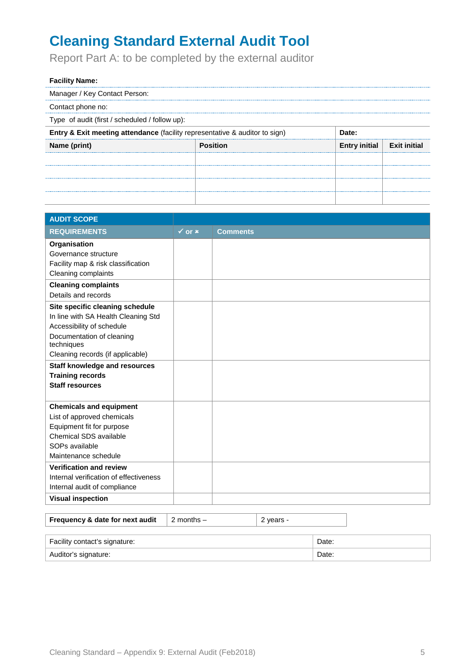Report Part A: to be completed by the external auditor

#### **Facility Name:**

Manager / Key Contact Person:

Contact phone no:

Type of audit (first / scheduled / follow up):

| <b>Entry &amp; Exit meeting attendance</b> (facility representative & auditor to sign) |          |                                    |  |  |
|----------------------------------------------------------------------------------------|----------|------------------------------------|--|--|
| Name (print)                                                                           | Position | Entry initial $\vert$ Exit initial |  |  |
|                                                                                        |          |                                    |  |  |
|                                                                                        |          |                                    |  |  |
|                                                                                        |          |                                    |  |  |
|                                                                                        |          |                                    |  |  |

| <b>AUDIT SCOPE</b>                      |                              |                 |
|-----------------------------------------|------------------------------|-----------------|
| <b>REQUIREMENTS</b>                     | $\checkmark$ or $\checkmark$ | <b>Comments</b> |
| Organisation<br>Governance structure    |                              |                 |
| Facility map & risk classification      |                              |                 |
| Cleaning complaints                     |                              |                 |
| <b>Cleaning complaints</b>              |                              |                 |
| Details and records                     |                              |                 |
| Site specific cleaning schedule         |                              |                 |
| In line with SA Health Cleaning Std     |                              |                 |
| Accessibility of schedule               |                              |                 |
| Documentation of cleaning<br>techniques |                              |                 |
| Cleaning records (if applicable)        |                              |                 |
| <b>Staff knowledge and resources</b>    |                              |                 |
| <b>Training records</b>                 |                              |                 |
| <b>Staff resources</b>                  |                              |                 |
| <b>Chemicals and equipment</b>          |                              |                 |
| List of approved chemicals              |                              |                 |
| Equipment fit for purpose               |                              |                 |
| Chemical SDS available                  |                              |                 |
| SOPs available                          |                              |                 |
| Maintenance schedule                    |                              |                 |
| <b>Verification and review</b>          |                              |                 |
| Internal verification of effectiveness  |                              |                 |
| Internal audit of compliance            |                              |                 |
| <b>Visual inspection</b>                |                              |                 |

| Frequency & date for next audit | 2 months $-$ | $\vert$ 2 years - |
|---------------------------------|--------------|-------------------|
|                                 |              |                   |

| Facility contact's signature: | Date: |
|-------------------------------|-------|
| Auditor's signature:          | ⊃ate: |